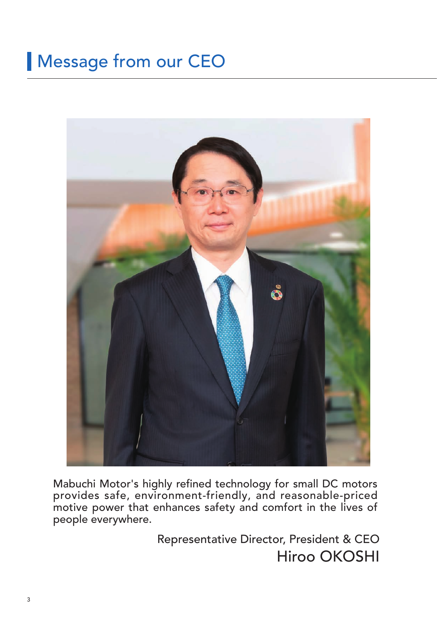# Message from our CEO



Mabuchi Motor's highly refined technology for small DC motors provides safe, environment-friendly, and reasonable-priced motive power that enhances safety and comfort in the lives of people everywhere.

> Representative Director, President & CEO Hiroo OKOSHI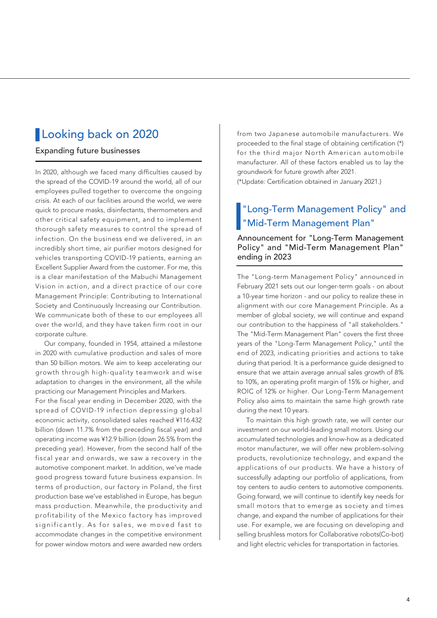# **Looking back on 2020**

#### Expanding future businesses

In 2020, although we faced many difficulties caused by the spread of the COVID-19 around the world, all of our employees pulled together to overcome the ongoing crisis. At each of our facilities around the world, we were quick to procure masks, disinfectants, thermometers and other critical safety equipment, and to implement thorough safety measures to control the spread of infection. On the business end we delivered, in an incredibly short time, air purifier motors designed for vehicles transporting COVID-19 patients, earning an Excellent Supplier Award from the customer. For me, this is a clear manifestation of the Mabuchi Management Vision in action, and a direct practice of our core Management Principle: Contributing to International Society and Continuously Increasing our Contribution. We communicate both of these to our employees all over the world, and they have taken firm root in our corporate culture.

 Our company, founded in 1954, attained a milestone in 2020 with cumulative production and sales of more than 50 billion motors. We aim to keep accelerating our growth through high-quality teamwork and wise adaptation to changes in the environment, all the while practicing our Management Principles and Markers.

For the fiscal year ending in December 2020, with the spread of COVID-19 infection depressing global economic activity, consolidated sales reached ¥116.432 billion (down 11.7% from the preceding fiscal year) and operating income was ¥12.9 billion (down 26.5% from the preceding year). However, from the second half of the fiscal year and onwards, we saw a recovery in the automotive component market. In addition, we've made good progress toward future business expansion. In terms of production, our factory in Poland, the first production base we've established in Europe, has begun mass production. Meanwhile, the productivity and profitability of the Mexico factory has improved significantly. As for sales, we moved fast to accommodate changes in the competitive environment for power window motors and were awarded new orders from two Japanese automobile manufacturers. We proceeded to the final stage of obtaining certification (\*) for the third major North American automobile manufacturer. All of these factors enabled us to lay the groundwork for future growth after 2021. (\*Update: Certification obtained in January 2021.)

### "Long-Term Management Policy" and "Mid-Term Management Plan"

Announcement for "Long-Term Management Policy" and "Mid-Term Management Plan" ending in 2023

The "Long-term Management Policy" announced in February 2021 sets out our longer-term goals - on about a 10-year time horizon - and our policy to realize these in alignment with our core Management Principle. As a member of global society, we will continue and expand our contribution to the happiness of "all stakeholders." The "Mid-Term Management Plan" covers the first three years of the "Long-Term Management Policy," until the end of 2023, indicating priorities and actions to take during that period. It is a performance guide designed to ensure that we attain average annual sales growth of 8% to 10%, an operating profit margin of 15% or higher, and ROIC of 12% or higher. Our Long-Term Management Policy also aims to maintain the same high growth rate during the next 10 years.

 To maintain this high growth rate, we will center our investment on our world-leading small motors. Using our accumulated technologies and know-how as a dedicated motor manufacturer, we will offer new problem-solving products, revolutionize technology, and expand the applications of our products. We have a history of successfully adapting our portfolio of applications, from toy centers to audio centers to automotive components. Going forward, we will continue to identify key needs for small motors that to emerge as society and times change, and expand the number of applications for their use. For example, we are focusing on developing and selling brushless motors for Collaborative robots(Co-bot) and light electric vehicles for transportation in factories.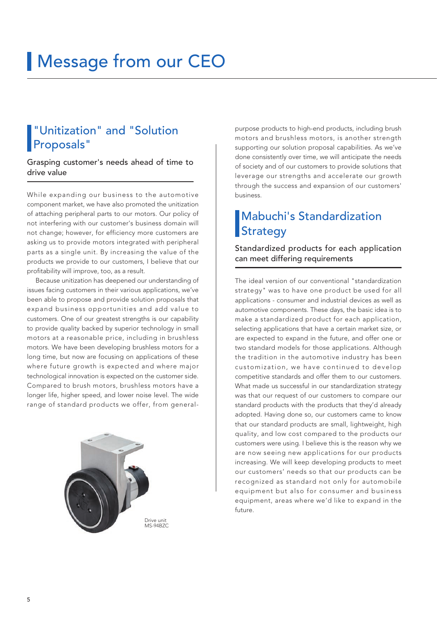# **Message from our CEO**

# "Unitization" and "Solution Proposals"

Grasping customer's needs ahead of time to drive value

While expanding our business to the automotive component market, we have also promoted the unitization of attaching peripheral parts to our motors. Our policy of not interfering with our customer's business domain will not change; however, for efficiency more customers are asking us to provide motors integrated with peripheral parts as a single unit. By increasing the value of the products we provide to our customers, I believe that our profitability will improve, too, as a result.

 Because unitization has deepened our understanding of issues facing customers in their various applications, we've been able to propose and provide solution proposals that expand business opportunities and add value to customers. One of our greatest strengths is our capability to provide quality backed by superior technology in small motors at a reasonable price, including in brushless motors. We have been developing brushless motors for a long time, but now are focusing on applications of these where future growth is expected and where major technological innovation is expected on the customer side. Compared to brush motors, brushless motors have a longer life, higher speed, and lower noise level. The wide range of standard products we offer, from general-



purpose products to high-end products, including brush motors and brushless motors, is another strength supporting our solution proposal capabilities. As we've done consistently over time, we will anticipate the needs of society and of our customers to provide solutions that leverage our strengths and accelerate our growth through the success and expansion of our customers' business.

# Mabuchi's Standardization **Strategy**

Standardized products for each application can meet differing requirements

The ideal version of our conventional "standardization strategy" was to have one product be used for all applications - consumer and industrial devices as well as automotive components. These days, the basic idea is to make a standardized product for each application, selecting applications that have a certain market size, or are expected to expand in the future, and offer one or two standard models for those applications. Although the tradition in the automotive industry has been customization, we have continued to develop competitive standards and offer them to our customers. What made us successful in our standardization strategy was that our request of our customers to compare our standard products with the products that they'd already adopted. Having done so, our customers came to know that our standard products are small, lightweight, high quality, and low cost compared to the products our customers were using. I believe this is the reason why we are now seeing new applications for our products increasing. We will keep developing products to meet our customers' needs so that our products can be recognized as standard not only for automobile equipment but also for consumer and business equipment, areas where we'd like to expand in the future.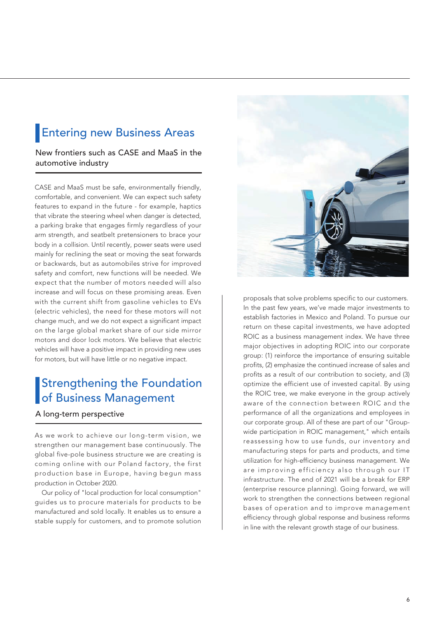# **Entering new Business Areas**

New frontiers such as CASE and MaaS in the automotive industry

CASE and MaaS must be safe, environmentally friendly, comfortable, and convenient. We can expect such safety features to expand in the future - for example, haptics that vibrate the steering wheel when danger is detected, a parking brake that engages firmly regardless of your arm strength, and seatbelt pretensioners to brace your body in a collision. Until recently, power seats were used mainly for reclining the seat or moving the seat forwards or backwards, but as automobiles strive for improved safety and comfort, new functions will be needed. We expect that the number of motors needed will also increase and will focus on these promising areas. Even with the current shift from gasoline vehicles to EVs (electric vehicles), the need for these motors will not change much, and we do not expect a significant impact on the large global market share of our side mirror motors and door lock motors. We believe that electric vehicles will have a positive impact in providing new uses for motors, but will have little or no negative impact.

# Strengthening the Foundation of Business Management

#### A long-term perspective

As we work to achieve our long-term vision, we strengthen our management base continuously. The global five-pole business structure we are creating is coming online with our Poland factory, the first production base in Europe, having begun mass production in October 2020.

 Our policy of "local production for local consumption" guides us to procure materials for products to be manufactured and sold locally. It enables us to ensure a stable supply for customers, and to promote solution



proposals that solve problems specific to our customers. In the past few years, we've made major investments to establish factories in Mexico and Poland. To pursue our return on these capital investments, we have adopted ROIC as a business management index. We have three major objectives in adopting ROIC into our corporate group: (1) reinforce the importance of ensuring suitable profits, (2) emphasize the continued increase of sales and profits as a result of our contribution to society, and (3) optimize the efficient use of invested capital. By using the ROIC tree, we make everyone in the group actively aware of the connection between ROIC and the performance of all the organizations and employees in our corporate group. All of these are part of our "Groupwide participation in ROIC management," which entails reassessing how to use funds, our inventory and manufacturing steps for parts and products, and time utilization for high-efficiency business management. We are improving efficiency also through our IT infrastructure. The end of 2021 will be a break for ERP (enterprise resource planning). Going forward, we will work to strengthen the connections between regional bases of operation and to improve management efficiency through global response and business reforms in line with the relevant growth stage of our business.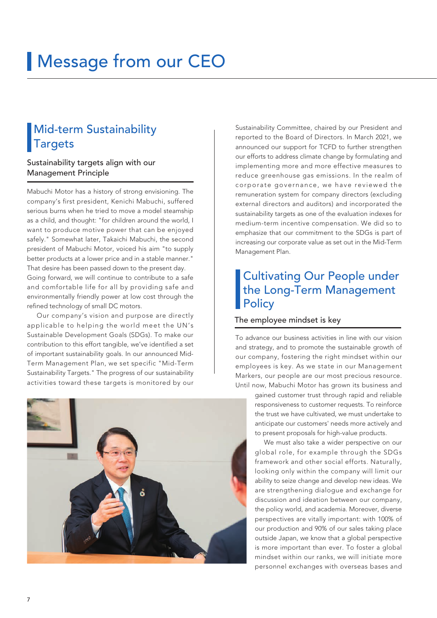# **Message from our CEO**

# Mid-term Sustainability **Targets**

#### Sustainability targets align with our Management Principle

Mabuchi Motor has a history of strong envisioning. The company's first president, Kenichi Mabuchi, suffered serious burns when he tried to move a model steamship as a child, and thought: "for children around the world, I want to produce motive power that can be enjoyed safely." Somewhat later, Takaichi Mabuchi, the second president of Mabuchi Motor, voiced his aim "to supply better products at a lower price and in a stable manner." That desire has been passed down to the present day. Going forward, we will continue to contribute to a safe and comfortable life for all by providing safe and environmentally friendly power at low cost through the refined technology of small DC motors.

 Our company's vision and purpose are directly applicable to helping the world meet the UN's Sustainable Development Goals (SDGs). To make our contribution to this effort tangible, we've identified a set of important sustainability goals. In our announced Mid-Term Management Plan, we set specific "Mid-Term Sustainability Targets." The progress of our sustainability activities toward these targets is monitored by our



Sustainability Committee, chaired by our President and reported to the Board of Directors. In March 2021, we announced our support for TCFD to further strengthen our efforts to address climate change by formulating and implementing more and more effective measures to reduce greenhouse gas emissions. In the realm of corporate governance, we have reviewed the remuneration system for company directors (excluding external directors and auditors) and incorporated the sustainability targets as one of the evaluation indexes for medium-term incentive compensation. We did so to emphasize that our commitment to the SDGs is part of increasing our corporate value as set out in the Mid-Term Management Plan.

## Cultivating Our People under the Long-Term Management **Policy**

#### The employee mindset is key

To advance our business activities in line with our vision and strategy, and to promote the sustainable growth of our company, fostering the right mindset within our employees is key. As we state in our Management Markers, our people are our most precious resource. Until now, Mabuchi Motor has grown its business and

> gained customer trust through rapid and reliable responsiveness to customer requests. To reinforce the trust we have cultivated, we must undertake to anticipate our customers' needs more actively and to present proposals for high-value products.

> We must also take a wider perspective on our global role, for example through the SDGs framework and other social efforts. Naturally, looking only within the company will limit our ability to seize change and develop new ideas. We are strengthening dialogue and exchange for discussion and ideation between our company, the policy world, and academia. Moreover, diverse perspectives are vitally important: with 100% of our production and 90% of our sales taking place outside Japan, we know that a global perspective is more important than ever. To foster a global mindset within our ranks, we will initiate more personnel exchanges with overseas bases and